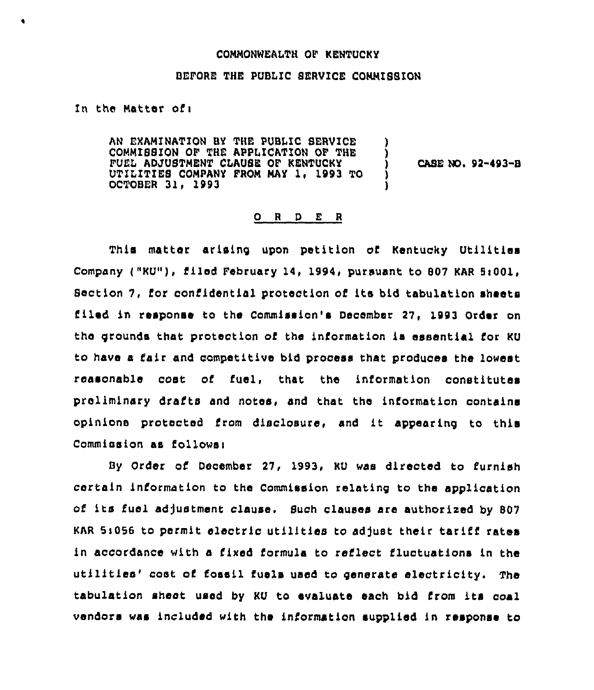## COMMONWEALTH OF KENTUCKY

## BEFORE THE PUBLIC SERVICE COMMISSION

In the Matter ofi

AN EXAMINATION BY THE PUBLIC SERVICE COMMISSION OF THE APPLICATION OF THE FUEL ADJUSTMENT CLAUSE OF KENTUCKY UTILITIES COMPANY FROM MAY 1. 1993 TO OCTOBER 31< 1993

CASE NO. 92-493-B

## 0 <sup>R</sup> <sup>D</sup> E <sup>R</sup>

This matter arising upon petition of Kentucky Utilities Company ("KU"), filed February 14, 1994, pursuant to 807 KAR 5:001, Section 7, for confidential protection of its bid tabulation sheets filed in response to the Commission's December 27, 1993 Order on the grounds that protection of the information is essential for KU to have a fair and competitive bid process that produces the lowest reasonable cost cf fuel, that the information constitutes preliminary drafts and notes, and that the information contains opinions protected from disclosure, and it appearing to this Commission as follows:

By Order of December 27, 1993, KU was directed to furnish certain information to the Commission relatin9 to the application of its fuel adjustment clause. Such clauses are authorized by <sup>807</sup> KAR 5:056 to permit electric utilities to adjust their tariff rates in accordance with a fixed formula to reflect fluctuations in the utilities' cost of fossil fuels used to generate electricity. The tabulation sheet used by KU to evaluate each bid Lrom its coal vendors was included with the information supplied in response to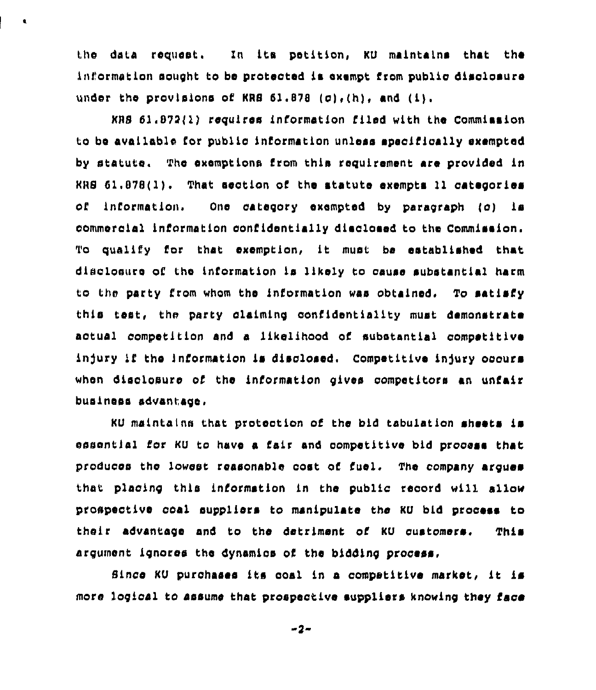the data request. In Lts petLtion, KU maintains thar the information sought to be protected is exempt from public disolosure under the provisions of KRS  $61.878$  (c),(h), and (i),

 $\pmb{\epsilon}$ 

KBS 51,872()) requires information filed with the Commission to be available for public information unless speoifically exempted by statute. The exemptions from this requirement are provided in  $KRS$   $61.878(1)$ . That section of the statute exempts 11 categories of information. One category exempted by paragraph (c) is commercial information confidentially disclosed to the Commission. To qualify for that exemption, it must be established that disclosure of the information Ls likely to cause substantial harm to the party from whom the information was obtained. To satisfy this test, the party claiming confidentiality must demonstrate aotual competition and a likelihood of substantial competitive injury if the information is disclosed. Competitive injury occurs when disclosure of the information gives competitors an unfair businee» advantage,

KU maintains that protection of the bid tabulation sheets is essential for KU to have a fair and competitive bid process that produces the lowest reasonable cost of fuel. The company arques that placinq this information in the public record will allow prospective ooal suppliers to manipulate the KU bid process to their advantage and to the detriment of KU customers. This argument ignores the dynamics of the bidding process,

Since KU purchases its coal in a competitive market, it is more logical to assume that prospective suppliers knowing they face

 $-2-$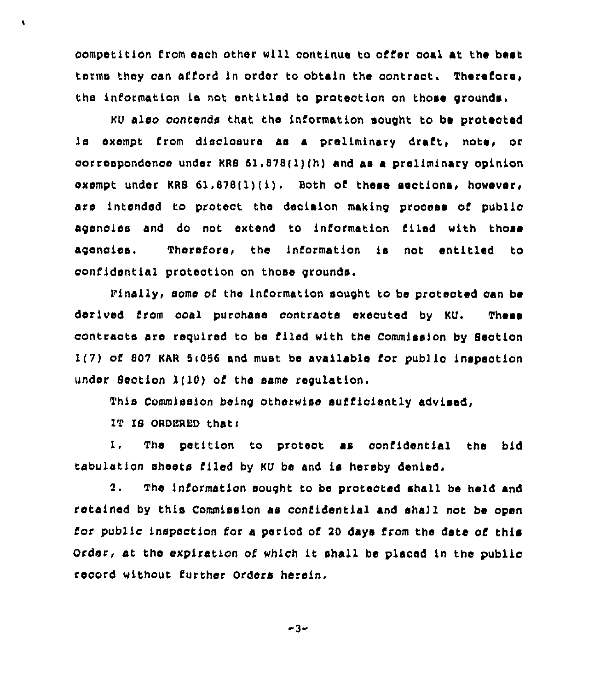competition from each other will continue to offer coal at the best terms they oan afford in order to obtain the contract. Therefore, the information is not entitled to protection on those grounds.

KU also contends that the information sought to be protected is exempt from disclosure as a preliminary draft, note, or correspondence under KRS  $61.878(1)(h)$  and as a preliminary opinion exempt under KRS 61.878(1)(i). Both of these sections, however, are intendod to protoct the decision making process of publio agencies and do not extend to information filed with those agencies, Therefore, the information is not entitled to confidential protection on those grounds.

finally, some of the information sought to be proteoted can be derived Crom coal purchase contraots executed by KU, These contracts are required to be filed with the Commission by Section l(7} of S07 KAR 5<056 and must be available for pub) lc Lnspeotion under Section  $1(10)$  of the same regulation.

This Commission being otherwise sufficiently advised,

IT IS ORDERED that:

À.

1. The petition to protect as confidential the bid tabulation sheets Piled by KU be and is hereby denied.

2. Tho information sought to be protected shall be held and rotained by this Commission as confidential and shall not be open for public inspection for a period of 20 days from the date of this Order, at the expiration of which it shall be placed in the public record without further Orders herein.

 $-3-$